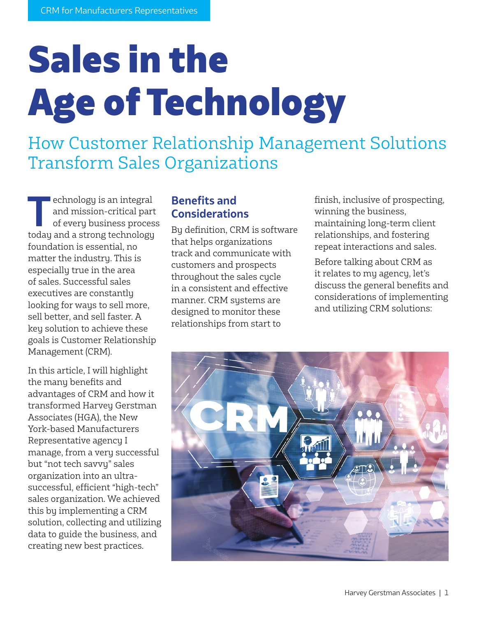# Sales in the Age of Technology

How Customer Relationship Management Solutions Transform Sales Organizations

**T**echnology is an integral<br>
and mission-critical part<br>
of every business process and mission-critical part today and a strong technology foundation is essential, no matter the industry. This is especially true in the area of sales. Successful sales executives are constantly looking for ways to sell more, sell better, and sell faster. A key solution to achieve these goals is Customer Relationship Management (CRM).

In this article, I will highlight the many benefits and advantages of CRM and how it transformed Harvey Gerstman Associates (HGA), the New York-based Manufacturers Representative agency I manage, from a very successful but "not tech savvy" sales organization into an ultrasuccessful, efficient "high-tech" sales organization. We achieved this by implementing a CRM solution, collecting and utilizing data to guide the business, and creating new best practices.

#### **Benefits and Considerations**

By definition, CRM is software that helps organizations track and communicate with customers and prospects throughout the sales cycle in a consistent and effective manner. CRM systems are designed to monitor these relationships from start to

finish, inclusive of prospecting, winning the business, maintaining long-term client relationships, and fostering repeat interactions and sales.

Before talking about CRM as it relates to my agency, let's discuss the general benefits and considerations of implementing and utilizing CRM solutions:

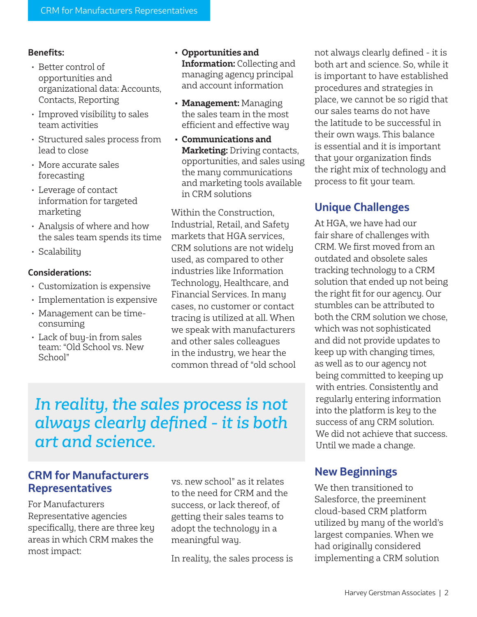#### **Benefits:**

- Better control of opportunities and organizational data: Accounts, Contacts, Reporting
- Improved visibility to sales team activities
- Structured sales process from lead to close
- More accurate sales forecasting
- Leverage of contact information for targeted marketing
- Analysis of where and how the sales team spends its time
- Scalability

#### **Considerations:**

- Customization is expensive
- Implementation is expensive
- Management can be timeconsuming
- Lack of buy-in from sales team: "Old School vs. New School"
- **• Opportunities and Information:** Collecting and managing agency principal and account information
- **• Management:** Managing the sales team in the most efficient and effective way
- **• Communications and Marketing:** Driving contacts, opportunities, and sales using the many communications and marketing tools available in CRM solutions

Within the Construction, Industrial, Retail, and Safety markets that HGA services, CRM solutions are not widely used, as compared to other industries like Information Technology, Healthcare, and Financial Services. In many cases, no customer or contact tracing is utilized at all. When we speak with manufacturers and other sales colleagues in the industry, we hear the common thread of "old school

# *In reality, the sales process is not always clearly defined - it is both art and science.*

### **CRM for Manufacturers Representatives**

For Manufacturers Representative agencies specifically, there are three key areas in which CRM makes the most impact:

vs. new school" as it relates to the need for CRM and the success, or lack thereof, of getting their sales teams to adopt the technology in a meaningful way.

In reality, the sales process is

not always clearly defined - it is both art and science. So, while it is important to have established procedures and strategies in place, we cannot be so rigid that our sales teams do not have the latitude to be successful in their own ways. This balance is essential and it is important that your organization finds the right mix of technology and process to fit your team.

### **Unique Challenges**

At HGA, we have had our fair share of challenges with CRM. We first moved from an outdated and obsolete sales tracking technology to a CRM solution that ended up not being the right fit for our agency. Our stumbles can be attributed to both the CRM solution we chose, which was not sophisticated and did not provide updates to keep up with changing times, as well as to our agency not being committed to keeping up with entries. Consistently and regularly entering information into the platform is key to the success of any CRM solution. We did not achieve that success. Until we made a change.

## **New Beginnings**

We then transitioned to Salesforce, the preeminent cloud-based CRM platform utilized by many of the world's largest companies. When we had originally considered implementing a CRM solution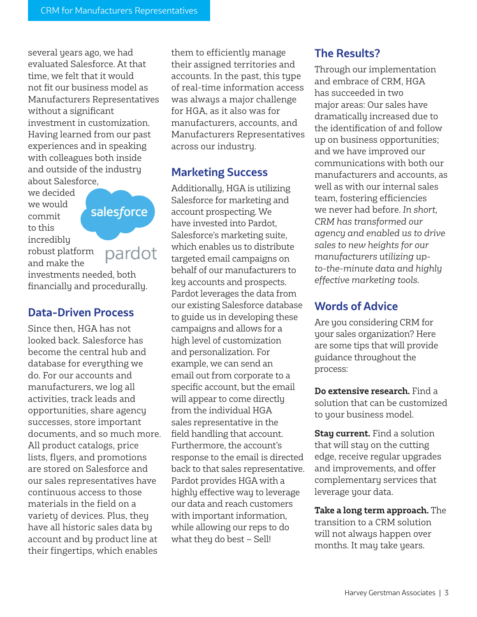several years ago, we had evaluated Salesforce. At that time, we felt that it would not fit our business model as Manufacturers Representatives without a significant investment in customization. Having learned from our past experiences and in speaking with colleagues both inside and outside of the industry about Salesforce,

we decided we would commit to this incredibly

salesforce

pardot

robust platform and make the

investments needed, both financially and procedurally.

#### **Data-Driven Process**

Since then, HGA has not looked back. Salesforce has become the central hub and database for everything we do. For our accounts and manufacturers, we log all activities, track leads and opportunities, share agency successes, store important documents, and so much more. All product catalogs, price lists, flyers, and promotions are stored on Salesforce and our sales representatives have continuous access to those materials in the field on a variety of devices. Plus, they have all historic sales data by account and by product line at their fingertips, which enables

them to efficiently manage their assigned territories and accounts. In the past, this type of real-time information access was always a major challenge for HGA, as it also was for manufacturers, accounts, and Manufacturers Representatives across our industry.

#### **Marketing Success**

Additionally, HGA is utilizing Salesforce for marketing and account prospecting. We have invested into Pardot, Salesforce's marketing suite, which enables us to distribute targeted email campaigns on behalf of our manufacturers to key accounts and prospects. Pardot leverages the data from our existing Salesforce database to guide us in developing these campaigns and allows for a high level of customization and personalization. For example, we can send an email out from corporate to a specific account, but the email will appear to come directly from the individual HGA sales representative in the field handling that account. Furthermore, the account's response to the email is directed back to that sales representative. Pardot provides HGA with a highly effective way to leverage our data and reach customers with important information, while allowing our reps to do what they do best – Sell!

#### **The Results?**

Through our implementation and embrace of CRM, HGA has succeeded in two major areas: Our sales have dramatically increased due to the identification of and follow up on business opportunities; and we have improved our communications with both our manufacturers and accounts, as well as with our internal sales team, fostering efficiencies we never had before. *In short, CRM has transformed our agency and enabled us to drive sales to new heights for our manufacturers utilizing upto-the-minute data and highly effective marketing tools.*

### **Words of Advice**

Are you considering CRM for your sales organization? Here are some tips that will provide guidance throughout the process:

**Do extensive research.** Find a solution that can be customized to your business model.

**Stay current.** Find a solution that will stay on the cutting edge, receive regular upgrades and improvements, and offer complementary services that leverage your data.

**Take a long term approach.** The transition to a CRM solution will not always happen over months. It may take years.